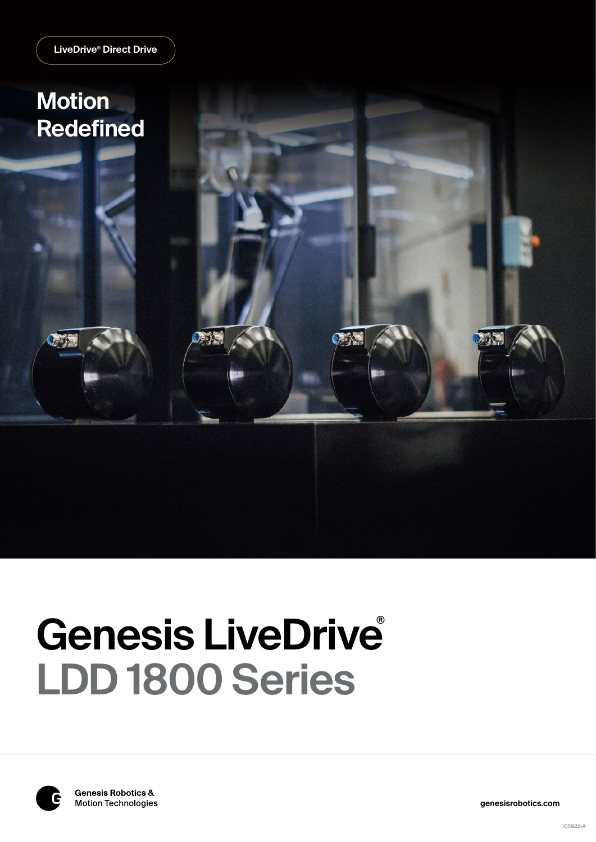

# **Genesis LiveDrive** ®**LDD 1800 Series**



**genesisrobotics.com**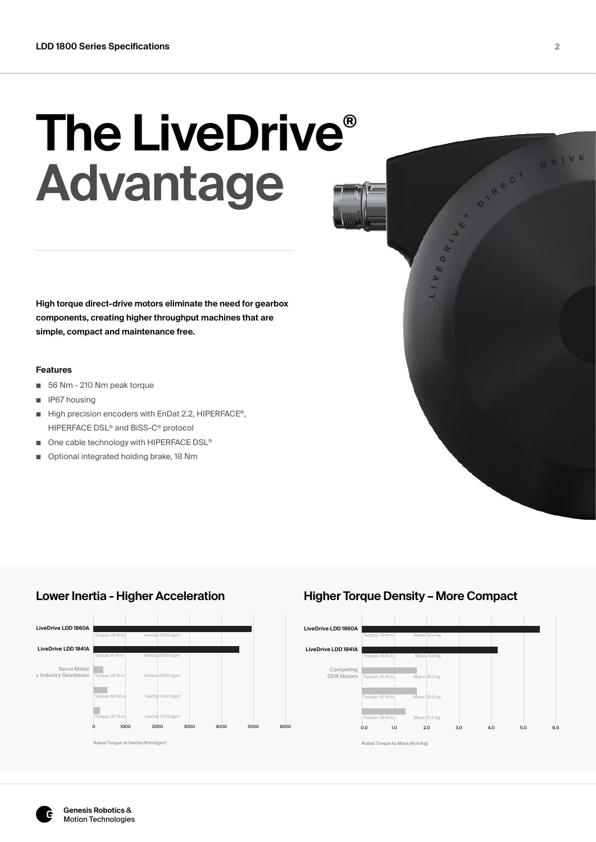# **The LiveDrive® Advantage**

**High torque direct-drive motors eliminate the need for gearbox components, creating higher throughput machines that are simple, compact and maintenance free.**

### **Features**

- 56 Nm 210 Nm peak torque
- IP67 housing
- High precision encoders with EnDat 2.2, HIPERFACE<sup>®</sup>, HIPERFACE DSL® and BiSS-C® protocol
- One cable technology with HIPERFACE DSL<sup>®</sup>
- Optional integrated holding brake, 18 Nm





# **Lower Inertia - Higher Acceleration Higher Torque Density – More Compact**



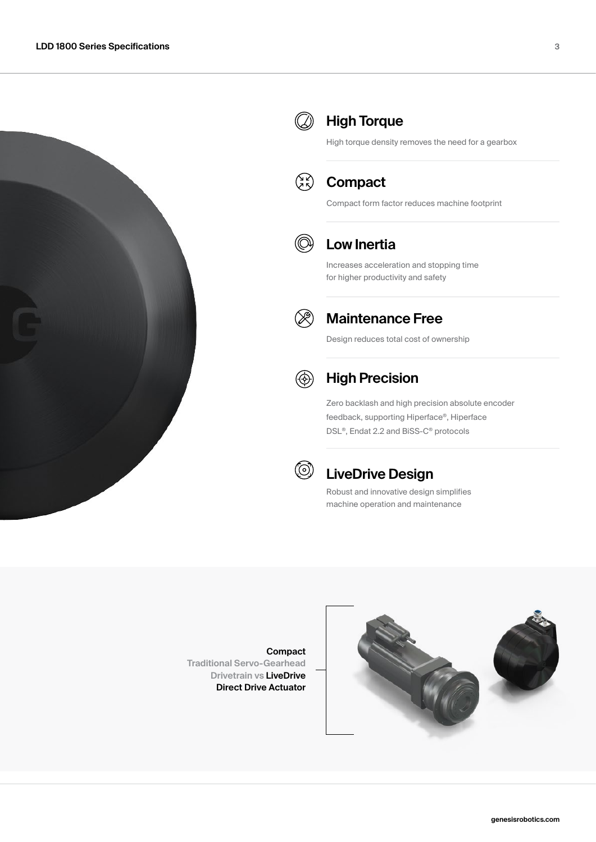



# **High Torque**

High torque density removes the need for a gearbox



# **Compact**

Compact form factor reduces machine footprint



# **Low Inertia**

Increases acceleration and stopping time for higher productivity and safety



### **Maintenance Free**

Design reduces total cost of ownership



# **High Precision**

Zero backlash and high precision absolute encoder feedback, supporting Hiperface®, Hiperface DSL®, Endat 2.2 and BiSS-C® protocols



# **LiveDrive Design**

Robust and innovative design simplifies machine operation and maintenance

**Compact Traditional Servo-Gearhead Drivetrain vs LiveDrive Direct Drive Actuator**

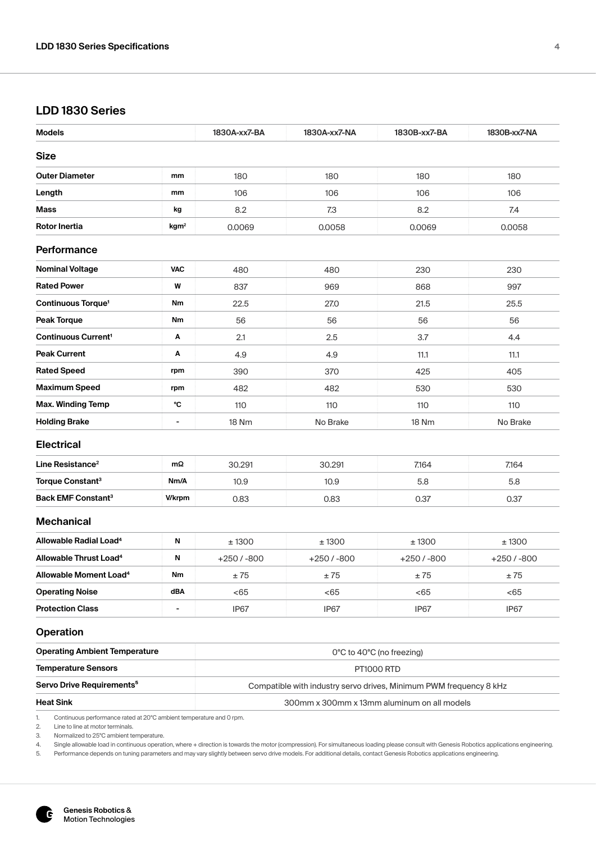# **LDD 1830 Series**

| <b>Models</b>                         |                              | 1830A-xx7-BA                                                       | 1830A-xx7-NA | 1830B-xx7-BA              | 1830B-xx7-NA |  |
|---------------------------------------|------------------------------|--------------------------------------------------------------------|--------------|---------------------------|--------------|--|
| <b>Size</b>                           |                              |                                                                    |              |                           |              |  |
| <b>Outer Diameter</b>                 | mm                           | 180                                                                | 180          | 180                       | 180          |  |
| Length                                | mm                           | 106                                                                | 106          | 106                       | 106          |  |
| Mass                                  | kg                           | 8.2                                                                | 7.3          | 8.2                       | 7.4          |  |
| Rotor Inertia                         | kgm <sup>2</sup>             | 0.0069                                                             | 0.0058       | 0.0069                    | 0.0058       |  |
| Performance                           |                              |                                                                    |              |                           |              |  |
| <b>Nominal Voltage</b>                | <b>VAC</b>                   | 480                                                                | 480          | 230                       | 230          |  |
| <b>Rated Power</b>                    | W                            | 837                                                                | 969          | 868                       | 997          |  |
| Continuous Torque <sup>1</sup>        | Nm                           | 22.5                                                               | 27.0         | 21.5                      | 25.5         |  |
| <b>Peak Torque</b>                    | Nm                           | 56                                                                 | 56           | 56                        | 56           |  |
| <b>Continuous Current<sup>1</sup></b> | Α                            | 2.1                                                                | 2.5          | 3.7                       | 4.4          |  |
| <b>Peak Current</b>                   | А                            | 4.9                                                                | 4.9          | 11.1                      | 11.1         |  |
| <b>Rated Speed</b>                    | rpm                          | 390                                                                | 370          | 425                       | 405          |  |
| <b>Maximum Speed</b>                  | rpm                          | 482                                                                | 482          | 530                       | 530          |  |
| <b>Max. Winding Temp</b>              | °C                           | 110                                                                | 110          | 110                       | 110          |  |
| <b>Holding Brake</b>                  | $\overline{\phantom{a}}$     | <b>18 Nm</b>                                                       | No Brake     | 18 Nm                     | No Brake     |  |
| <b>Electrical</b>                     |                              |                                                                    |              |                           |              |  |
| Line Resistance <sup>2</sup>          | $m\Omega$                    | 30.291                                                             | 30.291       | 7.164                     | 7.164        |  |
| Torque Constant <sup>3</sup>          | Nm/A                         | 10.9                                                               | 10.9         | 5.8                       | 5.8          |  |
| <b>Back EMF Constant<sup>3</sup></b>  | <b>V/krpm</b>                | 0.83                                                               | 0.83         | 0.37                      | 0.37         |  |
| <b>Mechanical</b>                     |                              |                                                                    |              |                           |              |  |
| Allowable Radial Load <sup>4</sup>    | N                            | ± 1300                                                             | ±1300        | ± 1300                    | ±1300        |  |
| Allowable Thrust Load <sup>4</sup>    | N                            | $+250/ -800$                                                       | $+250/ -800$ | $+250/ -800$              | $+250/ -800$ |  |
| Allowable Moment Load <sup>4</sup>    | Nm                           | ±75                                                                | $\pm\,75$    | ±75                       | ±75          |  |
| <b>Operating Noise</b>                | dBA                          | <65                                                                | <65          | <65                       | < 65         |  |
| <b>Protection Class</b>               | $\qquad \qquad \blacksquare$ | IP67                                                               | IP67         | IP67                      | IP67         |  |
| <b>Operation</b>                      |                              |                                                                    |              |                           |              |  |
| <b>Operating Ambient Temperature</b>  |                              |                                                                    |              | 0°C to 40°C (no freezing) |              |  |
| <b>Temperature Sensors</b>            |                              | PT1000 RTD                                                         |              |                           |              |  |
| Servo Drive Requirements <sup>5</sup> |                              | Compatible with industry servo drives, Minimum PWM frequency 8 kHz |              |                           |              |  |
| <b>Heat Sink</b>                      |                              | 300mm x 300mm x 13mm aluminum on all models                        |              |                           |              |  |

1. Continuous performance rated at 20°C ambient temperature and 0 rpm.<br>2. Line to line at motor terminals.

2. Line to line at motor terminals.<br>3. Normalized to 25°C ambient te 3. Normalized to 25°C ambient temperature.<br>4. Single allowable load in continuous operat

4. Single allowable load in continuous operation, where + direction is towards the motor (compression). For simultaneous loading please consult with Genesis Robotics applications engineering.<br>5. Performance depends on tuni

Performance depends on tuning parameters and may vary slightly between servo drive models. For additional details, contact Genesis Robotics applications engineering.

íC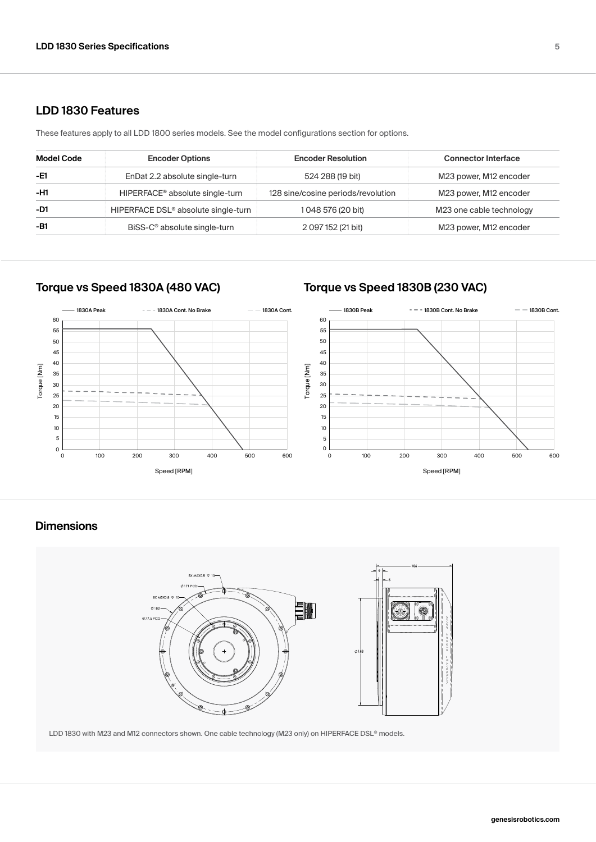### **LDD 1830 Features**

These features apply to all LDD 1800 series models. See the model configurations section for options.

| <b>Model Code</b> | <b>Encoder Options</b>                          | <b>Encoder Resolution</b>          | <b>Connector Interface</b> |
|-------------------|-------------------------------------------------|------------------------------------|----------------------------|
| -E1               | EnDat 2.2 absolute single-turn                  | 524 288 (19 bit)                   | M23 power, M12 encoder     |
| -H1               | HIPERFACE <sup>®</sup> absolute single-turn     | 128 sine/cosine periods/revolution | M23 power, M12 encoder     |
| -D1               | HIPERFACE DSL <sup>®</sup> absolute single-turn | 1048 576 (20 bit)                  | M23 one cable technology   |
| $-B1$             | BiSS-C <sup>®</sup> absolute single-turn        | 2 097 152 (21 bit)                 | M23 power, M12 encoder     |

# **Torque vs Speed 1830A (480 VAC) Torque vs Speed 1830B (230 VAC)**



# **Dimensions**



LDD 1830 with M23 and M12 connectors shown. One cable technology (M23 only) on HIPERFACE DSL® models.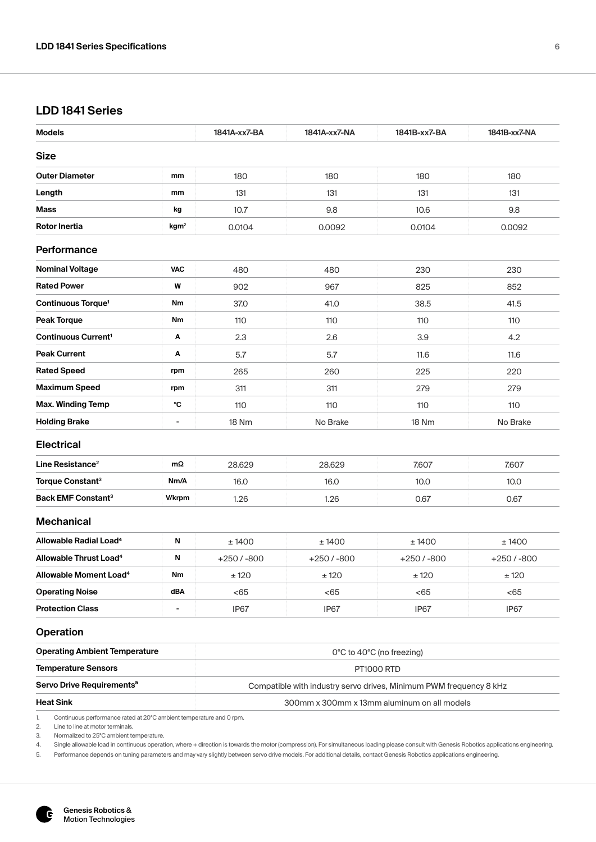# **LDD 1841 Series**

| <b>Models</b>                            |                          | 1841A-xx7-BA                                                       | 1841A-xx7-NA | 1841B-xx7-BA              | 1841B-xx7-NA |  |
|------------------------------------------|--------------------------|--------------------------------------------------------------------|--------------|---------------------------|--------------|--|
| <b>Size</b>                              |                          |                                                                    |              |                           |              |  |
| <b>Outer Diameter</b>                    | mm                       | 180                                                                | 180          | 180                       | 180          |  |
| Length                                   | mm                       | 131                                                                | 131          | 131                       | 131          |  |
| Mass                                     | kg                       | 10.7                                                               | 9.8          | 10.6                      | 9.8          |  |
| Rotor Inertia                            | kgm <sup>2</sup>         | 0.0104                                                             | 0.0092       | 0.0104                    | 0.0092       |  |
| <b>Performance</b>                       |                          |                                                                    |              |                           |              |  |
| <b>Nominal Voltage</b>                   | <b>VAC</b>               | 480                                                                | 480          | 230                       | 230          |  |
| <b>Rated Power</b>                       | W                        | 902                                                                | 967          | 825                       | 852          |  |
| Continuous Torque <sup>1</sup>           | Nm                       | 37.0                                                               | 41.0         | 38.5                      | 41.5         |  |
| Peak Torque                              | Nm                       | 110                                                                | 110          | 110                       | 110          |  |
| <b>Continuous Current<sup>1</sup></b>    | А                        | 2.3                                                                | 2.6          | 3.9                       | 4.2          |  |
| <b>Peak Current</b>                      | Α                        | 5.7                                                                | 5.7          | 11.6                      | 11.6         |  |
| <b>Rated Speed</b>                       | rpm                      | 265                                                                | 260          | 225                       | 220          |  |
| <b>Maximum Speed</b>                     | rpm                      | 311                                                                | 311          | 279                       | 279          |  |
| <b>Max. Winding Temp</b>                 | °C                       | 110                                                                | 110          | 110                       | 110          |  |
| <b>Holding Brake</b>                     | $\overline{\phantom{a}}$ | 18 Nm                                                              | No Brake     | 18 Nm                     | No Brake     |  |
| <b>Electrical</b>                        |                          |                                                                    |              |                           |              |  |
| Line Resistance <sup>2</sup>             | mΩ                       | 28.629                                                             | 28.629       | 7.607                     | 7.607        |  |
| Torque Constant <sup>3</sup>             | Nm/A                     | 16.0                                                               | 16.0         | 10.0                      | 10.0         |  |
| <b>Back EMF Constant<sup>3</sup></b>     | <b>V/krpm</b>            | 1.26                                                               | 1.26         | 0.67                      | 0.67         |  |
| <b>Mechanical</b>                        |                          |                                                                    |              |                           |              |  |
| Allowable Radial Load <sup>4</sup>       | N                        | ±1400                                                              | ±1400        | ± 1400                    | ± 1400       |  |
| <b>Allowable Thrust Load<sup>4</sup></b> | Ν                        | $+250/ -800$                                                       | $+250/ -800$ | $+250/ -800$              | $+250/ -800$ |  |
| Allowable Moment Load <sup>4</sup>       | Nm                       | ±120                                                               | ±120         | ± 120                     | $\pm$ 120    |  |
| <b>Operating Noise</b>                   | dBA                      | < 65                                                               | < 65         | < 65                      | < 65         |  |
| <b>Protection Class</b>                  | $\overline{\phantom{a}}$ | IP67                                                               | IP67         | IP67                      | IP67         |  |
| <b>Operation</b>                         |                          |                                                                    |              |                           |              |  |
| <b>Operating Ambient Temperature</b>     |                          |                                                                    |              | 0°C to 40°C (no freezing) |              |  |
| <b>Temperature Sensors</b>               |                          | <b>PT1000 RTD</b>                                                  |              |                           |              |  |
| Servo Drive Requirements <sup>5</sup>    |                          | Compatible with industry servo drives, Minimum PWM frequency 8 kHz |              |                           |              |  |
| <b>Heat Sink</b>                         |                          | 300mm x 300mm x 13mm aluminum on all models                        |              |                           |              |  |

1. Continuous performance rated at 20°C ambient temperature and 0 rpm.<br>2. Line to line at motor terminals.

2. Line to line at motor terminals.<br>3. Normalized to 25°C ambient te 3. Normalized to 25°C ambient temperature.<br>4. Single allowable load in continuous operat

4. Single allowable load in continuous operation, where + direction is towards the motor (compression). For simultaneous loading please consult with Genesis Robotics applications engineering.

5. Performance depends on tuning parameters and may vary slightly between servo drive models. For additional details, contact Genesis Robotics applications engineering.

íC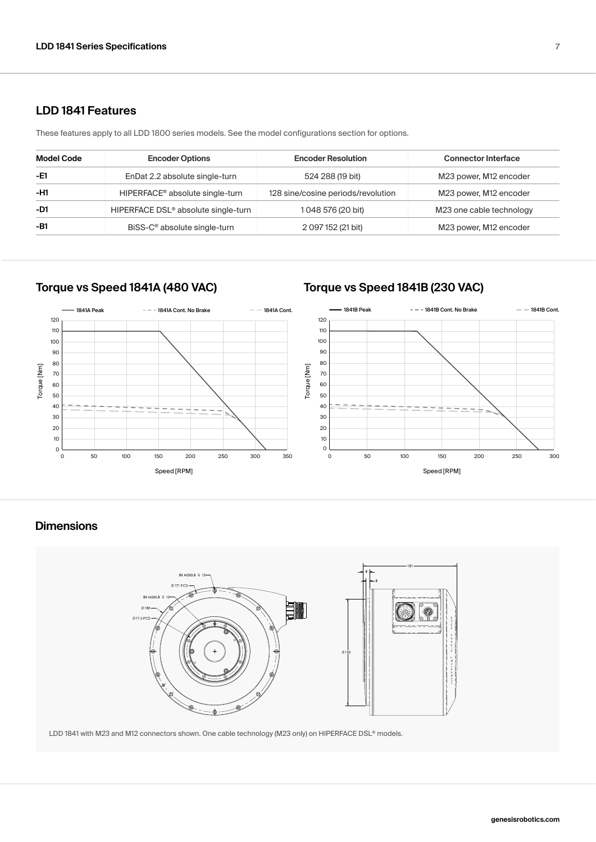### **LDD 1841 Features**

These features apply to all LDD 1800 series models. See the model configurations section for options.

| Model Code | <b>Encoder Options</b>                          | <b>Encoder Resolution</b>          | <b>Connector Interface</b> |
|------------|-------------------------------------------------|------------------------------------|----------------------------|
| -E1        | EnDat 2.2 absolute single-turn                  | 524 288 (19 bit)                   | M23 power, M12 encoder     |
| -H1        | HIPERFACE <sup>®</sup> absolute single-turn     | 128 sine/cosine periods/revolution | M23 power, M12 encoder     |
| $-D1$      | HIPERFACE DSL <sup>®</sup> absolute single-turn | 1 048 576 (20 bit)                 | M23 one cable technology   |
| -B1        | BiSS-C <sup>®</sup> absolute single-turn        | 2 097 152 (21 bit)                 | M23 power, M12 encoder     |

# **Torque vs Speed 1841A (480 VAC) Torque vs Speed 1841B (230 VAC)**



### **Dimensions**



LDD 1841 with M23 and M12 connectors shown. One cable technology (M23 only) on HIPERFACE DSL® models.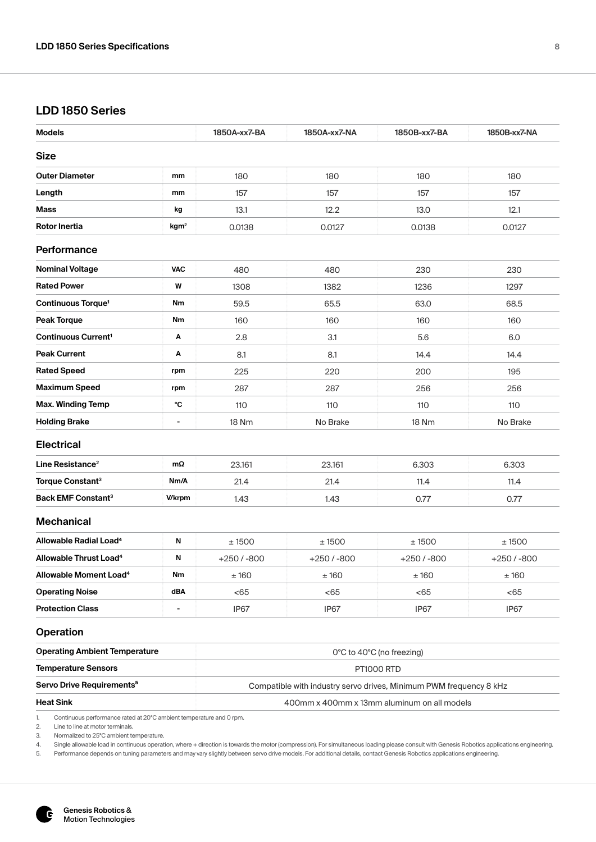# **LDD 1850 Series**

| <b>Models</b>                         |                          | 1850A-xx7-BA                                                       | 1850A-xx7-NA | 1850B-xx7-BA              | 1850B-xx7-NA |  |
|---------------------------------------|--------------------------|--------------------------------------------------------------------|--------------|---------------------------|--------------|--|
| <b>Size</b>                           |                          |                                                                    |              |                           |              |  |
| <b>Outer Diameter</b>                 | mm                       | 180                                                                | 180          | 180                       | 180          |  |
| Length                                | mm                       | 157                                                                | 157          | 157                       | 157          |  |
| Mass                                  | kg                       | 13.1                                                               | 12.2         | 13.0                      | 12.1         |  |
| <b>Rotor Inertia</b>                  | kgm <sup>2</sup>         | 0.0138                                                             | 0.0127       | 0.0138                    | 0.0127       |  |
| Performance                           |                          |                                                                    |              |                           |              |  |
| <b>Nominal Voltage</b>                | <b>VAC</b>               | 480                                                                | 480          | 230                       | 230          |  |
| <b>Rated Power</b>                    | W                        | 1308                                                               | 1382         | 1236                      | 1297         |  |
| <b>Continuous Torque<sup>1</sup></b>  | Nm                       | 59.5                                                               | 65.5         | 63.0                      | 68.5         |  |
| <b>Peak Torque</b>                    | Nm                       | 160                                                                | 160          | 160                       | 160          |  |
| <b>Continuous Current<sup>1</sup></b> | Α                        | 2.8                                                                | 3.1          | 5.6                       | 6.0          |  |
| <b>Peak Current</b>                   | Α                        | 8.1                                                                | 8.1          | 14.4                      | 14.4         |  |
| <b>Rated Speed</b>                    | rpm                      | 225                                                                | 220          | 200                       | 195          |  |
| <b>Maximum Speed</b>                  | rpm                      | 287                                                                | 287          | 256                       | 256          |  |
| <b>Max. Winding Temp</b>              | °C                       | 110                                                                | 110          | 110                       | 110          |  |
| <b>Holding Brake</b>                  | $\overline{\phantom{a}}$ | 18 Nm                                                              | No Brake     | 18 Nm                     | No Brake     |  |
| <b>Electrical</b>                     |                          |                                                                    |              |                           |              |  |
| Line Resistance <sup>2</sup>          | mΩ                       | 23.161                                                             | 23.161       | 6.303                     | 6.303        |  |
| Torque Constant <sup>3</sup>          | Nm/A                     | 21.4                                                               | 21.4         | 11.4                      | 11.4         |  |
| <b>Back EMF Constant<sup>3</sup></b>  | <b>Wkrpm</b>             | 1.43                                                               | 1.43         | 0.77                      | 0.77         |  |
| <b>Mechanical</b>                     |                          |                                                                    |              |                           |              |  |
| Allowable Radial Load <sup>4</sup>    | N                        | ± 1500                                                             | ±1500        | ±1500                     | ± 1500       |  |
| Allowable Thrust Load <sup>4</sup>    | N                        | $+250/ -800$                                                       | $+250/ -800$ | $+250/ -800$              | $+250/ -800$ |  |
| Allowable Moment Load <sup>4</sup>    | Nm                       | ±160                                                               | ±160         | ±160                      | ±160         |  |
| <b>Operating Noise</b>                | dBA                      | < 65                                                               | < 65         | <65                       | < 65         |  |
| <b>Protection Class</b>               |                          | IP67                                                               | IP67         | IP67                      | IP67         |  |
| <b>Operation</b>                      |                          |                                                                    |              |                           |              |  |
| <b>Operating Ambient Temperature</b>  |                          |                                                                    |              | 0°C to 40°C (no freezing) |              |  |
| <b>Temperature Sensors</b>            |                          | <b>PT1000 RTD</b>                                                  |              |                           |              |  |
| Servo Drive Requirements <sup>5</sup> |                          | Compatible with industry servo drives, Minimum PWM frequency 8 kHz |              |                           |              |  |
| <b>Heat Sink</b>                      |                          | 400mm x 400mm x 13mm aluminum on all models                        |              |                           |              |  |

2. Line to line at motor terminals.<br>3. Normalized to 25°C ambient te 3. Normalized to 25°C ambient temperature.<br>4. Single allowable load in continuous operati

4. Single allowable load in continuous operation, where + direction is towards the motor (compression). For simultaneous loading please consult with Genesis Robotics applications engineering.<br>5. Performance depends on tuni

Performance depends on tuning parameters and may vary slightly between servo drive models. For additional details, contact Genesis Robotics applications engineering.

íC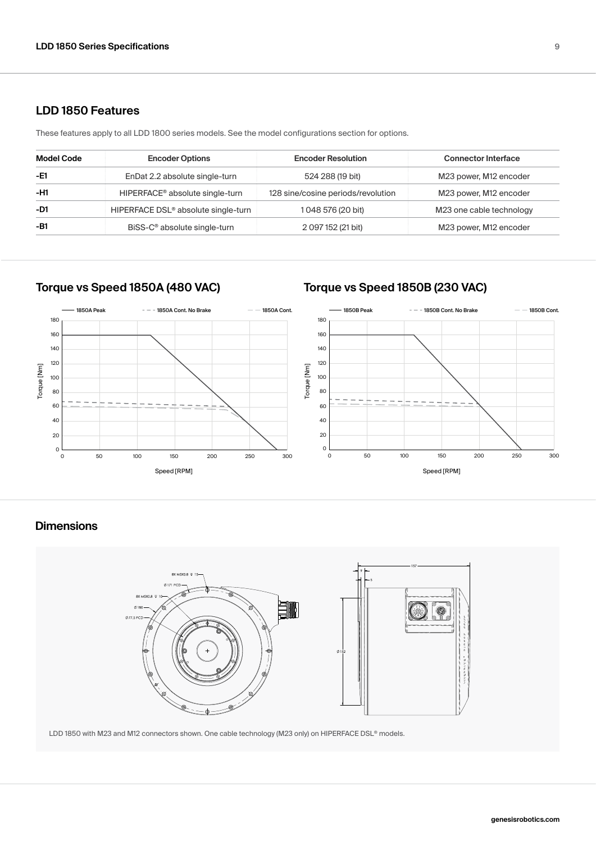### **LDD 1850 Features**

These features apply to all LDD 1800 series models. See the model configurations section for options.

| <b>Model Code</b> | <b>Encoder Options</b>                          | <b>Encoder Resolution</b>          | <b>Connector Interface</b> |
|-------------------|-------------------------------------------------|------------------------------------|----------------------------|
| -E1               | EnDat 2.2 absolute single-turn                  | 524 288 (19 bit)                   | M23 power, M12 encoder     |
| -H1               | HIPERFACE <sup>®</sup> absolute single-turn     | 128 sine/cosine periods/revolution | M23 power, M12 encoder     |
| -D1               | HIPERFACE DSL <sup>®</sup> absolute single-turn | 1 048 576 (20 bit)                 | M23 one cable technology   |
| $-B1$             | BiSS-C <sup>®</sup> absolute single-turn        | 2 097 152 (21 bit)                 | M23 power, M12 encoder     |

# **Torque vs Speed 1850A (480 VAC) Torque vs Speed 1850B (230 VAC)**



# **Dimensions**



LDD 1850 with M23 and M12 connectors shown. One cable technology (M23 only) on HIPERFACE DSL® models.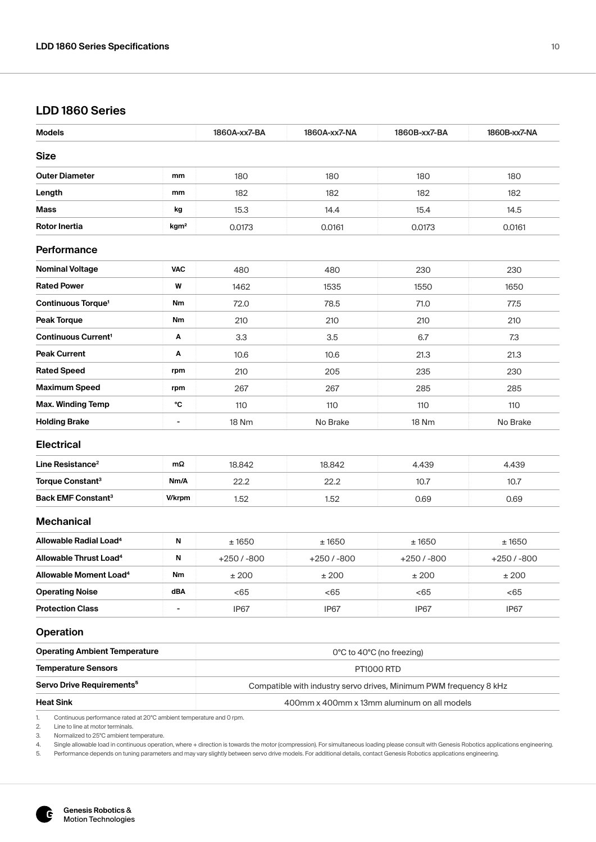# **LDD 1860 Series**

| <b>Models</b>                            |                          | 1860A-xx7-BA                                                       | 1860A-xx7-NA | 1860B-xx7-BA              | 1860B-xx7-NA |  |
|------------------------------------------|--------------------------|--------------------------------------------------------------------|--------------|---------------------------|--------------|--|
| <b>Size</b>                              |                          |                                                                    |              |                           |              |  |
| <b>Outer Diameter</b>                    | mm                       | 180                                                                | 180          | 180                       | 180          |  |
| Length                                   | mm                       | 182                                                                | 182          | 182                       | 182          |  |
| Mass                                     | kg                       | 15.3                                                               | 14.4         | 15.4                      | 14.5         |  |
| Rotor Inertia                            | kgm <sup>2</sup>         | 0.0173                                                             | 0.0161       | 0.0173                    | 0.0161       |  |
| <b>Performance</b>                       |                          |                                                                    |              |                           |              |  |
| <b>Nominal Voltage</b>                   | <b>VAC</b>               | 480                                                                | 480          | 230                       | 230          |  |
| <b>Rated Power</b>                       | W                        | 1462                                                               | 1535         | 1550                      | 1650         |  |
| Continuous Torque <sup>1</sup>           | Nm                       | 72.0                                                               | 78.5         | 71.0                      | 77.5         |  |
| <b>Peak Torque</b>                       | Nm                       | 210                                                                | 210          | 210                       | 210          |  |
| <b>Continuous Current<sup>1</sup></b>    | Α                        | 3.3                                                                | 3.5          | 6.7                       | 7.3          |  |
| <b>Peak Current</b>                      | Α                        | 10.6                                                               | 10.6         | 21.3                      | 21.3         |  |
| <b>Rated Speed</b>                       | rpm                      | 210                                                                | 205          | 235                       | 230          |  |
| <b>Maximum Speed</b>                     | rpm                      | 267                                                                | 267          | 285                       | 285          |  |
| <b>Max. Winding Temp</b>                 | °C                       | 110                                                                | 110          | 110                       | 110          |  |
| <b>Holding Brake</b>                     | $\overline{a}$           | 18 Nm                                                              | No Brake     | 18 Nm                     | No Brake     |  |
| <b>Electrical</b>                        |                          |                                                                    |              |                           |              |  |
| Line Resistance <sup>2</sup>             | mΩ                       | 18.842                                                             | 18.842       | 4.439                     | 4.439        |  |
| Torque Constant <sup>3</sup>             | Nm/A                     | 22.2                                                               | 22.2         | 10.7                      | 10.7         |  |
| <b>Back EMF Constant<sup>3</sup></b>     | <b>Wkrpm</b>             | 1.52                                                               | 1.52         | 0.69                      | 0.69         |  |
| <b>Mechanical</b>                        |                          |                                                                    |              |                           |              |  |
| Allowable Radial Load <sup>4</sup>       | N                        | ± 1650                                                             | ±1650        | ±1650                     | ±1650        |  |
| <b>Allowable Thrust Load<sup>4</sup></b> | N                        | $+250/ -800$                                                       | $+250/ -800$ | $+250/ -800$              | $+250/ -800$ |  |
| Allowable Moment Load <sup>4</sup>       | Nm                       | $\pm 200$                                                          | ±200         | ±200                      | $\pm\,200$   |  |
| <b>Operating Noise</b>                   | dBA                      | < 65                                                               | < 65         | <65                       | < 65         |  |
| <b>Protection Class</b>                  | $\overline{\phantom{0}}$ | IP67                                                               | IP67         | IP67                      | IP67         |  |
| <b>Operation</b>                         |                          |                                                                    |              |                           |              |  |
| <b>Operating Ambient Temperature</b>     |                          |                                                                    |              | 0°C to 40°C (no freezing) |              |  |
| <b>Temperature Sensors</b>               |                          | <b>PT1000 RTD</b>                                                  |              |                           |              |  |
| Servo Drive Requirements <sup>5</sup>    |                          | Compatible with industry servo drives, Minimum PWM frequency 8 kHz |              |                           |              |  |
| <b>Heat Sink</b>                         |                          | 400mm x 400mm x 13mm aluminum on all models                        |              |                           |              |  |

1. Continuous performance rated at 20°C ambient temperature and 0 rp<br>2. Line to line at motor terminals.

2. Line to line at motor terminals.<br>3. Normalized to 25°C ambient te

3. Normalized to 25°C ambient temperature.<br>4. Single allowable load in continuous operati

4. Single allowable load in continuous operation, where + direction is towards the motor (compression). For simultaneous loading please consult with Genesis Robotics applications engineering.<br>5. Performance depends on tuni

Performance depends on tuning parameters and may vary slightly between servo drive models. For additional details, contact Genesis Robotics applications engineering.

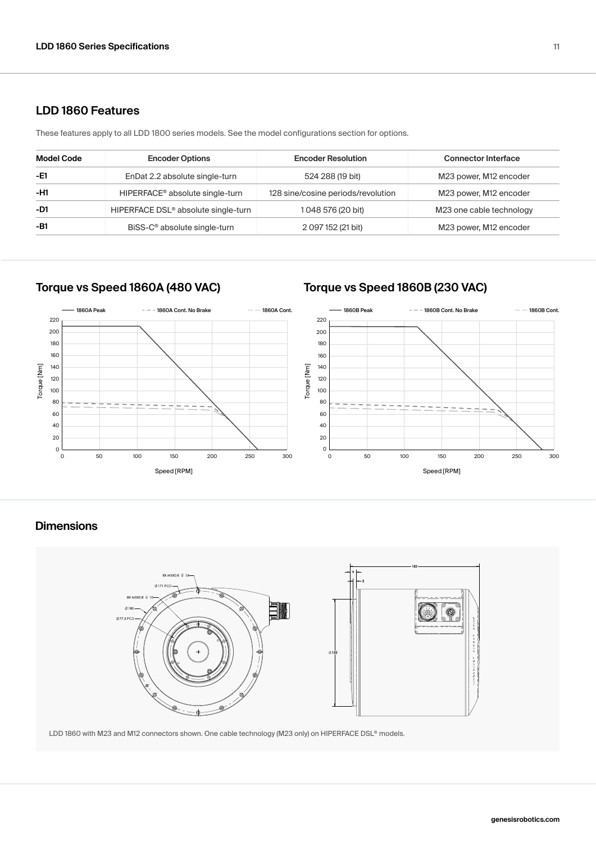### **LDD 1860 Features**

These features apply to all LDD 1800 series models. See the model configurations section for options.

| Model Code | <b>Encoder Options</b>                          | <b>Encoder Resolution</b>          | <b>Connector Interface</b> |
|------------|-------------------------------------------------|------------------------------------|----------------------------|
| -E1        | EnDat 2.2 absolute single-turn                  | 524 288 (19 bit)                   | M23 power, M12 encoder     |
| -H1        | HIPERFACE <sup>®</sup> absolute single-turn     | 128 sine/cosine periods/revolution | M23 power, M12 encoder     |
| $-D1$      | HIPERFACE DSL <sup>®</sup> absolute single-turn | 1 048 576 (20 bit)                 | M23 one cable technology   |
| -B1        | BiSS-C <sup>®</sup> absolute single-turn        | 2 097 152 (21 bit)                 | M23 power, M12 encoder     |

# **Torque vs Speed 1860A (480 VAC) Torque vs Speed 1860B (230 VAC)**



### **Dimensions**



LDD 1860 with M23 and M12 connectors shown. One cable technology (M23 only) on HIPERFACE DSL® models.